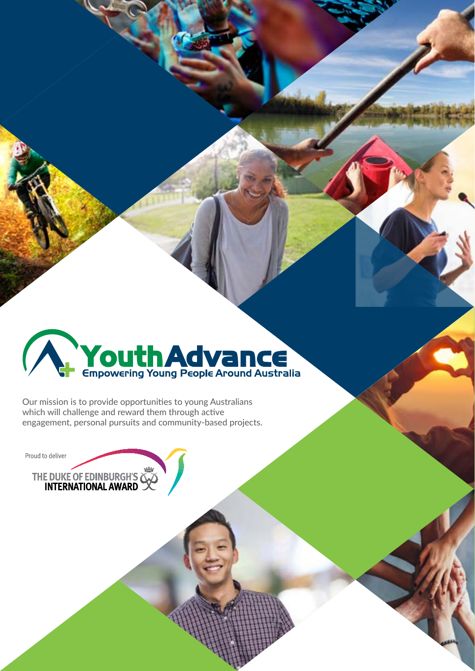

Our mission is to provide opportunities to young Australians which will challenge and reward them through active engagement, personal pursuits and community-based projects.

Proud to deliver

THE DUKE OF EDINBURGH'S